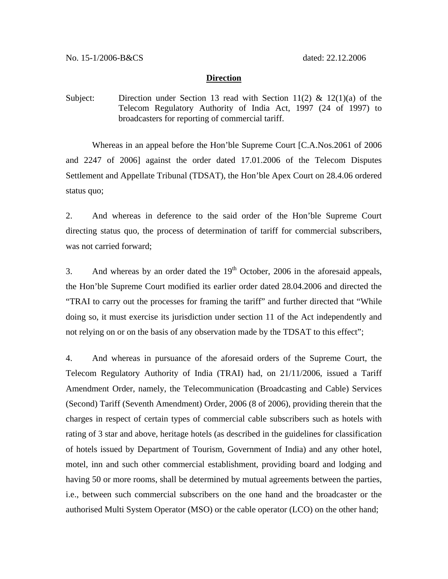## **Direction**

Subject: Direction under Section 13 read with Section 11(2) & 12(1)(a) of the Telecom Regulatory Authority of India Act, 1997 (24 of 1997) to broadcasters for reporting of commercial tariff.

 Whereas in an appeal before the Hon'ble Supreme Court [C.A.Nos.2061 of 2006 and 2247 of 2006] against the order dated 17.01.2006 of the Telecom Disputes Settlement and Appellate Tribunal (TDSAT), the Hon'ble Apex Court on 28.4.06 ordered status quo;

2. And whereas in deference to the said order of the Hon'ble Supreme Court directing status quo, the process of determination of tariff for commercial subscribers, was not carried forward;

3. And whereas by an order dated the  $19<sup>th</sup>$  October, 2006 in the aforesaid appeals, the Hon'ble Supreme Court modified its earlier order dated 28.04.2006 and directed the "TRAI to carry out the processes for framing the tariff" and further directed that "While doing so, it must exercise its jurisdiction under section 11 of the Act independently and not relying on or on the basis of any observation made by the TDSAT to this effect";

4. And whereas in pursuance of the aforesaid orders of the Supreme Court, the Telecom Regulatory Authority of India (TRAI) had, on 21/11/2006, issued a Tariff Amendment Order, namely, the Telecommunication (Broadcasting and Cable) Services (Second) Tariff (Seventh Amendment) Order, 2006 (8 of 2006), providing therein that the charges in respect of certain types of commercial cable subscribers such as hotels with rating of 3 star and above, heritage hotels (as described in the guidelines for classification of hotels issued by Department of Tourism, Government of India) and any other hotel, motel, inn and such other commercial establishment, providing board and lodging and having 50 or more rooms, shall be determined by mutual agreements between the parties, i.e., between such commercial subscribers on the one hand and the broadcaster or the authorised Multi System Operator (MSO) or the cable operator (LCO) on the other hand;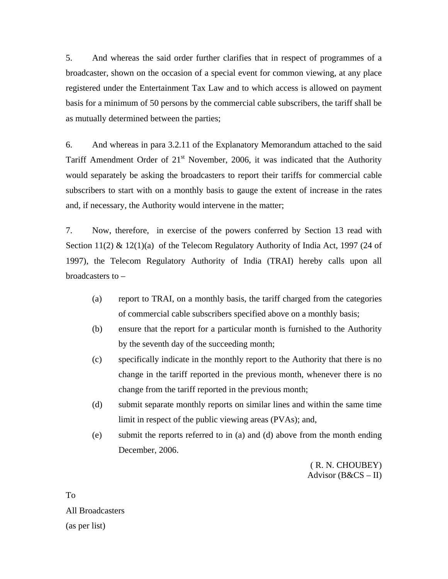5. And whereas the said order further clarifies that in respect of programmes of a broadcaster, shown on the occasion of a special event for common viewing, at any place registered under the Entertainment Tax Law and to which access is allowed on payment basis for a minimum of 50 persons by the commercial cable subscribers, the tariff shall be as mutually determined between the parties;

6. And whereas in para 3.2.11 of the Explanatory Memorandum attached to the said Tariff Amendment Order of  $21<sup>st</sup>$  November, 2006, it was indicated that the Authority would separately be asking the broadcasters to report their tariffs for commercial cable subscribers to start with on a monthly basis to gauge the extent of increase in the rates and, if necessary, the Authority would intervene in the matter;

7. Now, therefore, in exercise of the powers conferred by Section 13 read with Section 11(2)  $\&$  12(1)(a) of the Telecom Regulatory Authority of India Act, 1997 (24 of 1997), the Telecom Regulatory Authority of India (TRAI) hereby calls upon all broadcasters to –

- (a) report to TRAI, on a monthly basis, the tariff charged from the categories of commercial cable subscribers specified above on a monthly basis;
- (b) ensure that the report for a particular month is furnished to the Authority by the seventh day of the succeeding month;
- (c) specifically indicate in the monthly report to the Authority that there is no change in the tariff reported in the previous month, whenever there is no change from the tariff reported in the previous month;
- (d) submit separate monthly reports on similar lines and within the same time limit in respect of the public viewing areas (PVAs); and,
- (e) submit the reports referred to in (a) and (d) above from the month ending December, 2006.

( R. N. CHOUBEY) Advisor  $(B&CS-II)$ 

To All Broadcasters (as per list)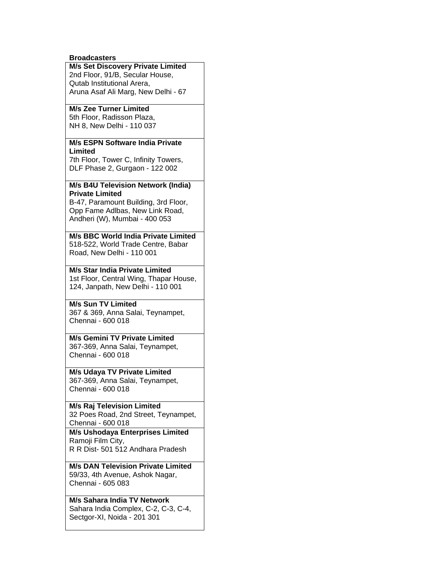#### **Broadcasters**

### **M/s Set Discovery Private Limited** 2nd Floor, 91/B, Secular House, Qutab Institutional Arera, Aruna Asaf Ali Marg, New Delhi - 67

#### **M/s Zee Turner Limited** 5th Floor, Radisson Plaza, NH 8, New Delhi - 110 037

# **M/s ESPN Software India Private Limited**

7th Floor, Tower C, Infinity Towers, DLF Phase 2, Gurgaon - 122 002

### **M/s B4U Television Network (India) Private Limited**

B-47, Paramount Building, 3rd Floor, Opp Fame Adlbas, New Link Road, Andheri (W), Mumbai - 400 053

**M/s BBC World India Private Limited** 518-522, World Trade Centre, Babar Road, New Delhi - 110 001

# **M/s Star India Private Limited**

1st Floor, Central Wing, Thapar House, 124, Janpath, New Delhi - 110 001

## **M/s Sun TV Limited**

367 & 369, Anna Salai, Teynampet, Chennai - 600 018

# **M/s Gemini TV Private Limited**

367-369, Anna Salai, Teynampet, Chennai - 600 018

#### **M/s Udaya TV Private Limited** 367-369, Anna Salai, Teynampet, Chennai - 600 018

**M/s Raj Television Limited** 32 Poes Road, 2nd Street, Teynampet, Chennai - 600 018

### **M/s Ushodaya Enterprises Limited** Ramoji Film City, R R Dist- 501 512 Andhara Pradesh

**M/s DAN Television Private Limited** 59/33, 4th Avenue, Ashok Nagar, Chennai - 605 083

# **M/s Sahara India TV Network**

Sahara India Complex, C-2, C-3, C-4, Sectgor-XI, Noida - 201 301